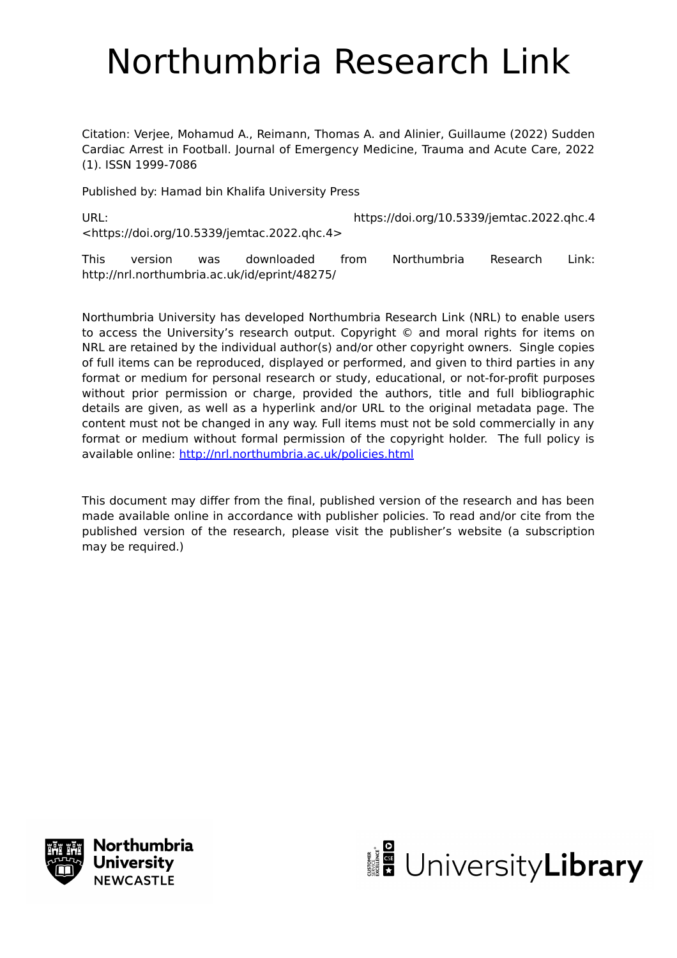# Northumbria Research Link

Citation: Verjee, Mohamud A., Reimann, Thomas A. and Alinier, Guillaume (2022) Sudden Cardiac Arrest in Football. Journal of Emergency Medicine, Trauma and Acute Care, 2022 (1). ISSN 1999-7086

Published by: Hamad bin Khalifa University Press

URL: https://doi.org/10.5339/jemtac.2022.qhc.4 <https://doi.org/10.5339/jemtac.2022.qhc.4>

This version was downloaded from Northumbria Research Link: http://nrl.northumbria.ac.uk/id/eprint/48275/

Northumbria University has developed Northumbria Research Link (NRL) to enable users to access the University's research output. Copyright © and moral rights for items on NRL are retained by the individual author(s) and/or other copyright owners. Single copies of full items can be reproduced, displayed or performed, and given to third parties in any format or medium for personal research or study, educational, or not-for-profit purposes without prior permission or charge, provided the authors, title and full bibliographic details are given, as well as a hyperlink and/or URL to the original metadata page. The content must not be changed in any way. Full items must not be sold commercially in any format or medium without formal permission of the copyright holder. The full policy is available online:<http://nrl.northumbria.ac.uk/policies.html>

This document may differ from the final, published version of the research and has been made available online in accordance with publisher policies. To read and/or cite from the published version of the research, please visit the publisher's website (a subscription may be required.)



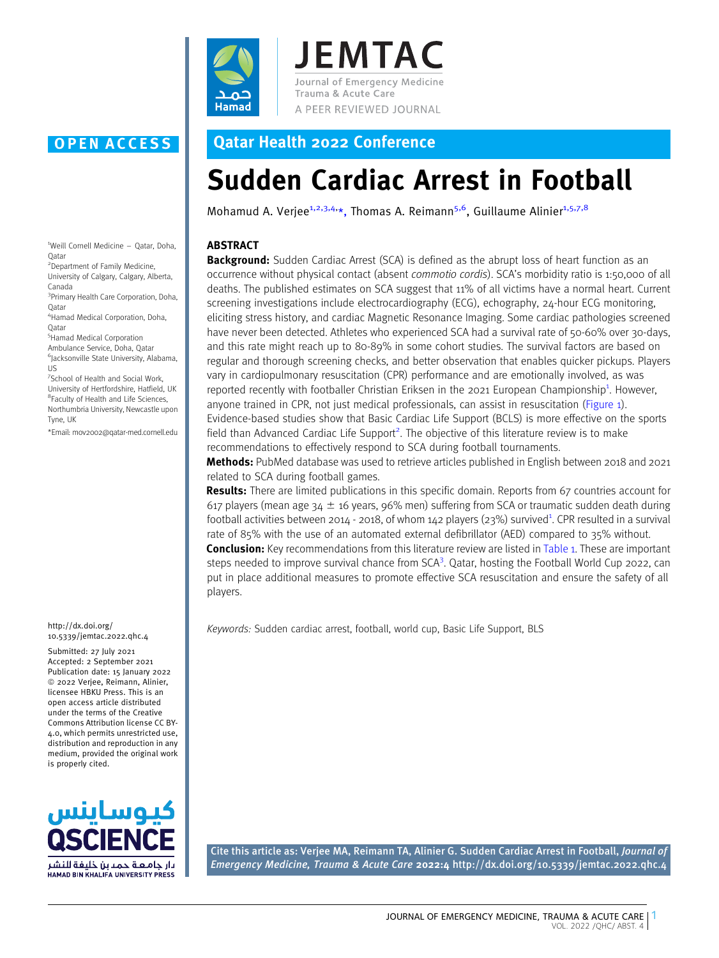

**JEMTAC** Journal of Emergency Medicine Trauma & Acute Care A PEER REVIEWED JOURNAL

### OPEN ACCESS Qatar Health 2022 Conference

## Sudden Cardiac Arrest in Football

Mohamud A. Verjee<sup>1,2,3,4,</sup>\*, Thomas A. Reimann<sup>5,6</sup>, Guillaume Alinier<sup>1,5,7,8</sup>

### ABSTRACT

**Background:** Sudden Cardiac Arrest (SCA) is defined as the abrupt loss of heart function as an occurrence without physical contact (absent commotio cordis). SCA's morbidity ratio is 1:50,000 of all deaths. The published estimates on SCA suggest that 11% of all victims have a normal heart. Current screening investigations include electrocardiography (ECG), echography, 24-hour ECG monitoring, eliciting stress history, and cardiac Magnetic Resonance Imaging. Some cardiac pathologies screened have never been detected. Athletes who experienced SCA had a survival rate of 50-60% over 30-days, and this rate might reach up to 80-89% in some cohort studies. The survival factors are based on regular and thorough screening checks, and better observation that enables quicker pickups. Players vary in cardiopulmonary resuscitation (CPR) performance and are emotionally involved, as was reported recently with footballer Christian Eriksen in the 2021 European Championship<sup>1</sup>[. However,](#page-3-0) [anyone trained in CPR, not just medical professionals, can assist in resuscitation \(Figure 1\).](#page-2-0) [Evidence-based studies show that Basic Cardiac Life Support \(BCLS\) is more effective on the sports](#page-2-0) [field](#page-3-0) [than](#page-3-0) [Advanced](#page-3-0) [Cardiac](#page-3-0) [Life](#page-3-0) Support<sup>2</sup>[. The objective of this literature review is to make](#page-3-0) [recommendations to effectively respond to SCA during football tournaments.](#page-3-0)

[Me](#page-3-0)thods: [PubMed database was used to retrieve articles published in English between 2018 and 2021](#page-3-0) [related to SCA during football games.](#page-3-0)

**[Re](#page-3-0)sults:** [There are limited publications in this specific domain. Reports from 67 countries account for](#page-3-0) 617 players (mean age  $34 \pm 16$  years, 96% men) suffering from SCA or traumatic sudden death during [football](#page-3-0) [activities](#page-3-0) [between](#page-3-0) [2014](#page-3-0) [-](#page-3-0) [2018,](#page-3-0) [of](#page-3-0) [whom](#page-3-0) [142](#page-3-0) [players](#page-3-0) [\(23%\)](#page-3-0) [survived](#page-3-0)<sup>1</sup>[. CPR resulted in a survival](#page-3-0) [rate of 85% with the use of an automated external defibrillator \(AED\) compared to 35% without.](#page-3-0)

**[Co](#page-3-0)nclusion:** [Key recommendations from this literature review are listed in](#page-2-0) Table 1. These are important [steps](#page-3-0) [needed](#page-3-0) [to](#page-3-0) [improve](#page-3-0) [survival](#page-3-0) [chance](#page-3-0) [from](#page-3-0) SCA<sup>3</sup>[. Qatar, hosting the Football World Cup 2022, can](#page-3-0) [put in place additional measures to promote effective SCA resuscitation and ensure the safety of all](#page-3-0) [players.](#page-3-0)

Keywords: Sudden cardiac arrest, football, world cup, Basic Life Support, BLS

Cite this article as: Verjee MA, Reimann TA, Alinier G. Sudden Cardiac Arrest in Football, Journal of Emergency Medicine, Trauma & Acute Care 2022:4 http://dx.doi.org/10.5339/jemtac.2022.qhc.4

1 Weill Cornell Medicine – Qatar, Doha, Qatar

2 Department of Family Medicine, University of Calgary, Calgary, Alberta,

Canada 3 Primary Health Care Corporation, Doha,

**O**atar 4 Hamad Medical Corporation, Doha,

Qatar

5 Hamad Medical Corporation Ambulance Service, Doha, Qatar 6 Jacksonville State University, Alabama, US

7 School of Health and Social Work, University of Hertfordshire, Hatfield, UK 8 Faculty of Health and Life Sciences, Northumbria University, Newcastle upon Tyne, LIK

\*Email: mov2002@qatar-med.cornell.edu

http://dx.doi.org/ 10.5339/jemtac.2022.qhc.4

Submitted: 27 July 2021 Accepted: 2 September 2021 Publication date: 15 January 2022  $©$  2022 Verjee, Reimann, Alinier, licensee HBKU Press. This is an open access article distributed under the terms of the Creative Commons Attribution license CC BY-4.0, which permits unrestricted use, distribution and reproduction in any medium, provided the original work is properly cited.

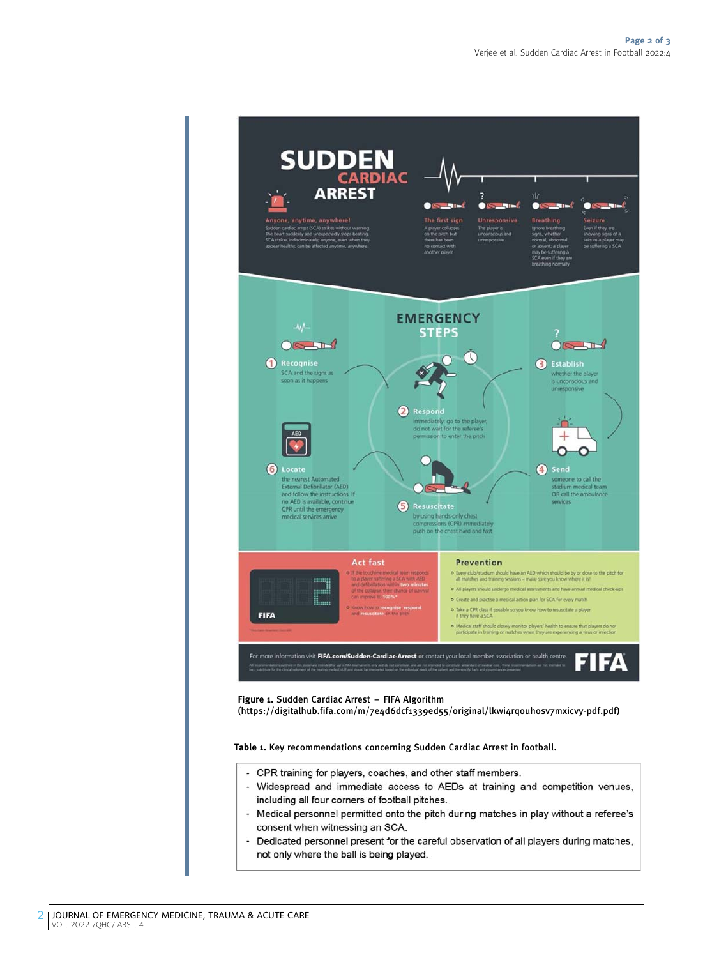<span id="page-2-0"></span>

Figure 1. Sudden Cardiac Arrest – FIFA Algorithm

(https://digitalhub.fifa.com/m/7e4d6dcf1339ed55/original/lkwi4rqouhosv7mxicvy-pdf.pdf)

Table 1. Key recommendations concerning Sudden Cardiac Arrest in football.

- CPR training for players, coaches, and other staff members.
- Widespread and immediate access to AEDs at training and competition venues, including all four corners of football pitches.
- Medical personnel permitted onto the pitch during matches in play without a referee's consent when witnessing an SCA.
- à. Dedicated personnel present for the careful observation of all players during matches, not only where the ball is being played.